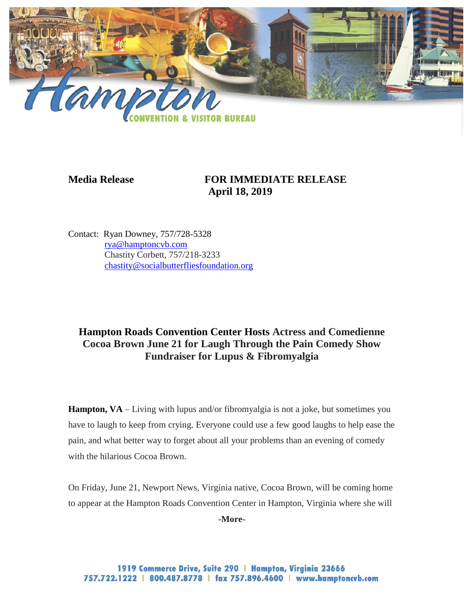

## **Media Release FOR IMMEDIATE RELEASE April 18, 2019**

Contact: Ryan Downey, 757/728-5328 [rya@hamptoncvb.com](mailto:rya@hamptoncvb.com) Chastity Corbett, 757/218-3233 [chastity@socialbutterfliesfoundation.org](mailto:chastity@socialbutterfliesfoundation.org)

## **Hampton Roads Convention Center Hosts Actress and Comedienne Cocoa Brown June 21 for Laugh Through the Pain Comedy Show Fundraiser for Lupus & Fibromyalgia**

**Hampton, VA** – Living with lupus and/or fibromyalgia is not a joke, but sometimes you have to laugh to keep from crying. Everyone could use a few good laughs to help ease the pain, and what better way to forget about all your problems than an evening of comedy with the hilarious Cocoa Brown.

On Friday, June 21, Newport News, Virginia native, Cocoa Brown, will be coming home to appear at the Hampton Roads Convention Center in Hampton, Virginia where she will

**-More-**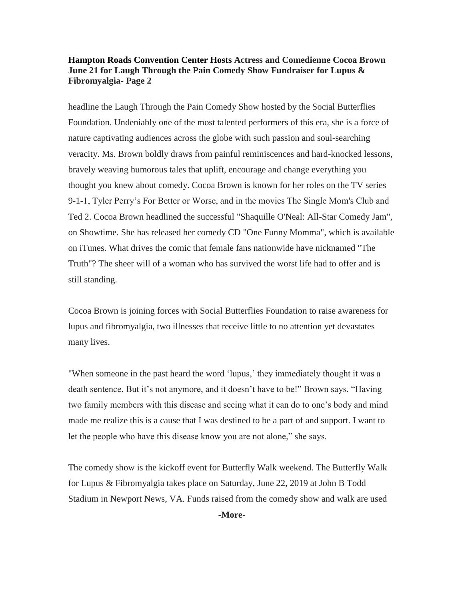## **Hampton Roads Convention Center Hosts Actress and Comedienne Cocoa Brown June 21 for Laugh Through the Pain Comedy Show Fundraiser for Lupus & Fibromyalgia- Page 2**

headline the Laugh Through the Pain Comedy Show hosted by the Social Butterflies Foundation. Undeniably one of the most talented performers of this era, she is a force of nature captivating audiences across the globe with such passion and soul-searching veracity. Ms. Brown boldly draws from painful reminiscences and hard-knocked lessons, bravely weaving humorous tales that uplift, encourage and change everything you thought you knew about comedy. Cocoa Brown is known for her roles on the TV series 9-1-1, Tyler Perry's For Better or Worse, and in the movies The Single Mom's Club and Ted 2. Cocoa Brown headlined the successful "Shaquille O'Neal: All-Star Comedy Jam", on Showtime. She has released her comedy CD "One Funny Momma", which is available on iTunes. What drives the comic that female fans nationwide have nicknamed "The Truth"? The sheer will of a woman who has survived the worst life had to offer and is still standing.

Cocoa Brown is joining forces with Social Butterflies Foundation to raise awareness for lupus and fibromyalgia, two illnesses that receive little to no attention yet devastates many lives.

"When someone in the past heard the word 'lupus,' they immediately thought it was a death sentence. But it's not anymore, and it doesn't have to be!" Brown says. "Having two family members with this disease and seeing what it can do to one's body and mind made me realize this is a cause that I was destined to be a part of and support. I want to let the people who have this disease know you are not alone," she says.

The comedy show is the kickoff event for Butterfly Walk weekend. The Butterfly Walk for Lupus & Fibromyalgia takes place on Saturday, June 22, 2019 at John B Todd Stadium in Newport News, VA. Funds raised from the comedy show and walk are used

**-More-**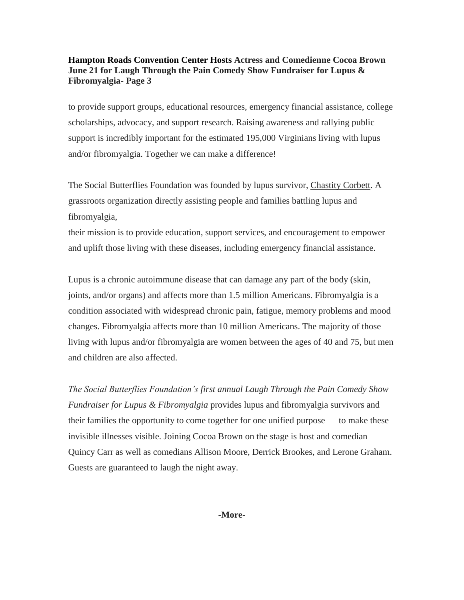## **Hampton Roads Convention Center Hosts Actress and Comedienne Cocoa Brown June 21 for Laugh Through the Pain Comedy Show Fundraiser for Lupus & Fibromyalgia- Page 3**

to provide support groups, educational resources, emergency financial assistance, college scholarships, advocacy, and support research. Raising awareness and rallying public support is incredibly important for the estimated 195,000 Virginians living with lupus and/or fibromyalgia. Together we can make a difference!

The Social Butterflies Foundation was founded by lupus survivor, [Chastity Corbett.](http://www.mysocialbutterflies.org/the-lupus-conqueror/) A grassroots organization directly assisting people and families battling lupus and fibromyalgia,

their mission is to provide education, support services, and encouragement to empower and uplift those living with these diseases, including emergency financial assistance.

Lupus is a chronic autoimmune disease that can damage any part of the body (skin, joints, and/or organs) and affects more than 1.5 million Americans. Fibromyalgia is a condition associated with widespread chronic pain, fatigue, memory problems and mood changes. Fibromyalgia affects more than 10 million Americans. The majority of those living with lupus and/or fibromyalgia are women between the ages of 40 and 75, but men and children are also affected.

*The Social Butterflies Foundation's first annual Laugh Through the Pain Comedy Show Fundraiser for Lupus & Fibromyalgia* provides lupus and fibromyalgia survivors and their families the opportunity to come together for one unified purpose — to make these invisible illnesses visible. Joining Cocoa Brown on the stage is host and comedian Quincy Carr as well as comedians Allison Moore, Derrick Brookes, and Lerone Graham. Guests are guaranteed to laugh the night away.

**-More-**